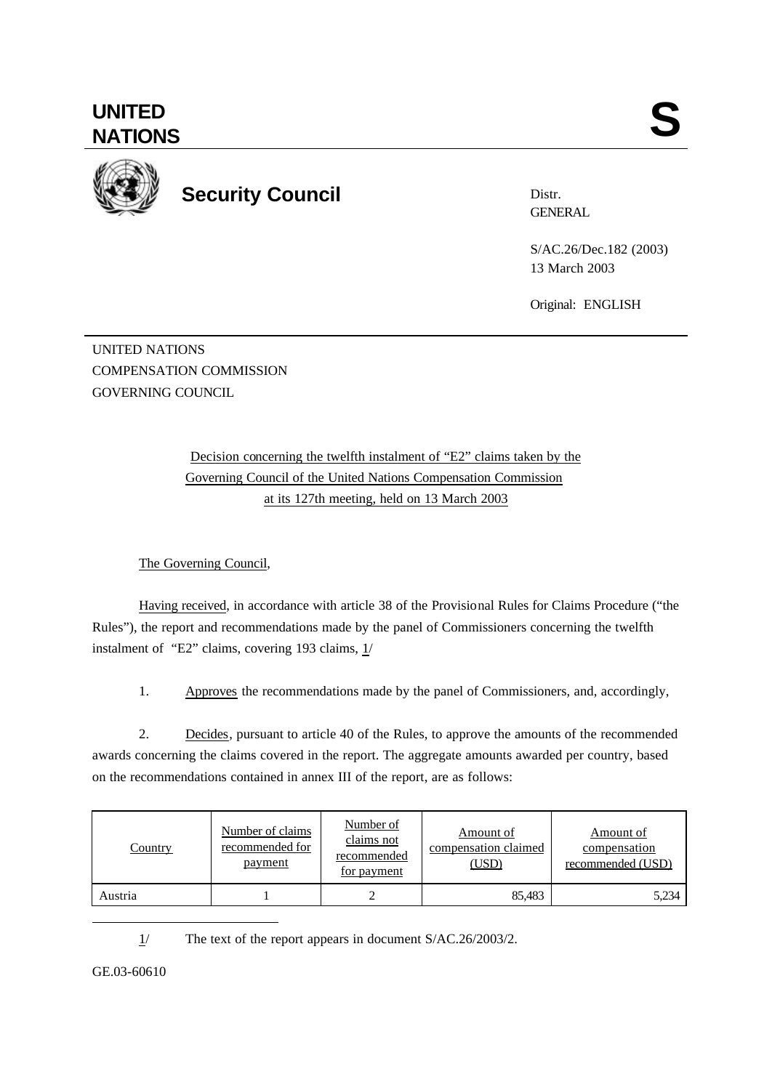

**Security Council**

Distr. **GENERAL** 

S/AC.26/Dec.182 (2003) 13 March 2003

Original: ENGLISH

UNITED NATIONS COMPENSATION COMMISSION GOVERNING COUNCIL

> Decision concerning the twelfth instalment of "E2" claims taken by the Governing Council of the United Nations Compensation Commission at its 127th meeting, held on 13 March 2003

The Governing Council,

Having received, in accordance with article 38 of the Provisional Rules for Claims Procedure ("the Rules"), the report and recommendations made by the panel of Commissioners concerning the twelfth instalment of "E2" claims, covering 193 claims, 1/

1. Approves the recommendations made by the panel of Commissioners, and, accordingly,

2. Decides, pursuant to article 40 of the Rules, to approve the amounts of the recommended awards concerning the claims covered in the report. The aggregate amounts awarded per country, based on the recommendations contained in annex III of the report, are as follows:

| <b>Country</b> | Number of claims<br>recommended for<br>payment | Number of<br>claims not<br>recommended<br>for payment | Amount of<br>compensation claimed<br><u>(USD)</u> | Amount of<br>compensation<br>recommended (USD) |
|----------------|------------------------------------------------|-------------------------------------------------------|---------------------------------------------------|------------------------------------------------|
| Austria        |                                                |                                                       | 85,483                                            | 5,234                                          |

1/ The text of the report appears in document S/AC.26/2003/2.

GE.03-60610

l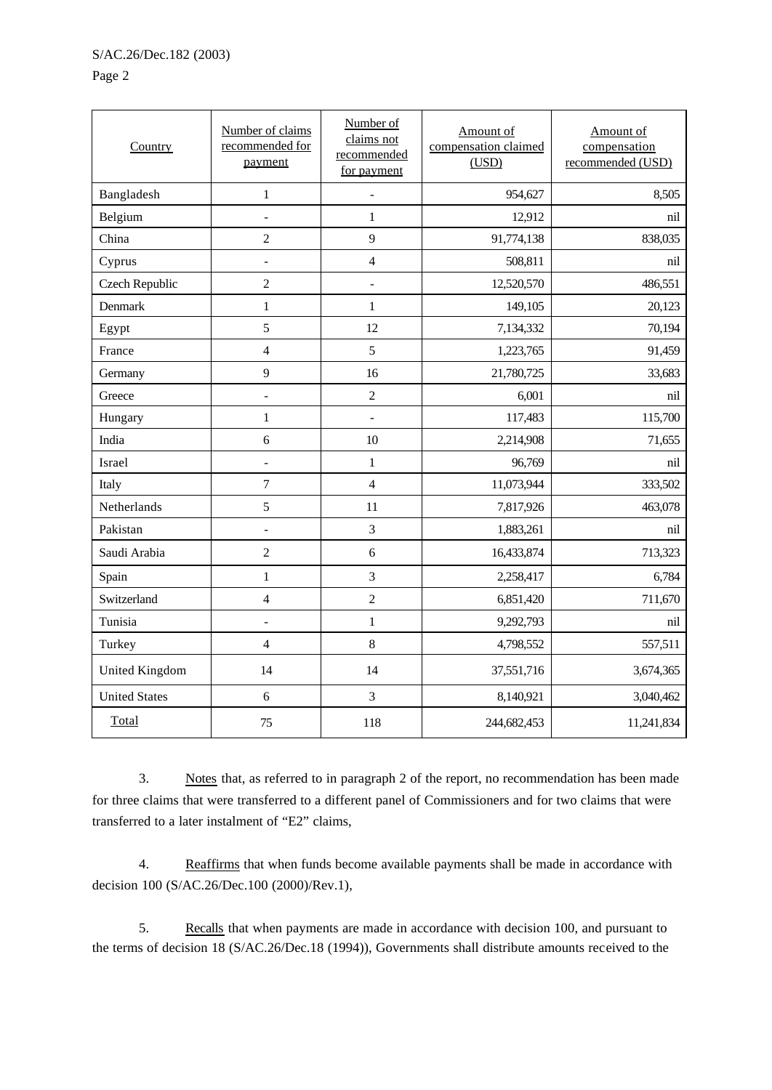Page 2

| Country              | Number of claims<br>recommended for<br>payment | Number of<br>claims not<br>recommended<br>for payment | Amount of<br>compensation claimed<br>(USD) | Amount of<br>compensation<br>recommended (USD) |
|----------------------|------------------------------------------------|-------------------------------------------------------|--------------------------------------------|------------------------------------------------|
| Bangladesh           | $\mathbf{1}$                                   | $\overline{a}$                                        | 954,627                                    | 8,505                                          |
| Belgium              | $\overline{a}$                                 | $\mathbf{1}$                                          | 12,912                                     | nil                                            |
| China                | $\overline{c}$                                 | 9                                                     | 91,774,138                                 | 838,035                                        |
| Cyprus               | $\Box$                                         | $\overline{4}$                                        | 508,811                                    | nil                                            |
| Czech Republic       | $\overline{c}$                                 | $\overline{a}$                                        | 12,520,570                                 | 486,551                                        |
| Denmark              | $\mathbf{1}$                                   | $\mathbf{1}$                                          | 149,105                                    | 20,123                                         |
| Egypt                | 5                                              | 12                                                    | 7,134,332                                  | 70,194                                         |
| France               | $\overline{4}$                                 | 5                                                     | 1,223,765                                  | 91,459                                         |
| Germany              | 9                                              | 16                                                    | 21,780,725                                 | 33,683                                         |
| Greece               | $\frac{1}{2}$                                  | $\overline{c}$                                        | 6,001                                      | nil                                            |
| Hungary              | $\mathbf{1}$                                   | $\overline{a}$                                        | 117,483                                    | 115,700                                        |
| India                | 6                                              | 10                                                    | 2,214,908                                  | 71,655                                         |
| Israel               | $\Box$                                         | $\mathbf{1}$                                          | 96,769                                     | nil                                            |
| Italy                | $\tau$                                         | $\overline{4}$                                        | 11,073,944                                 | 333,502                                        |
| Netherlands          | 5                                              | 11                                                    | 7,817,926                                  | 463,078                                        |
| Pakistan             | $\Box$                                         | 3                                                     | 1,883,261                                  | nil                                            |
| Saudi Arabia         | $\overline{c}$                                 | $\epsilon$                                            | 16,433,874                                 | 713,323                                        |
| Spain                | $\mathbf{1}$                                   | 3                                                     | 2,258,417                                  | 6,784                                          |
| Switzerland          | $\overline{4}$                                 | $\overline{2}$                                        | 6,851,420                                  | 711,670                                        |
| Tunisia              | $\overline{\phantom{a}}$                       | $\mathbf{1}$                                          | 9,292,793                                  | nil                                            |
| Turkey               | $\overline{4}$                                 | 8                                                     | 4,798,552                                  | 557,511                                        |
| United Kingdom       | 14                                             | 14                                                    | 37,551,716                                 | 3,674,365                                      |
| <b>United States</b> | 6                                              | $\overline{3}$                                        | 8,140,921                                  | 3,040,462                                      |
| Total                | 75                                             | 118                                                   | 244,682,453                                | 11,241,834                                     |

3. Notes that, as referred to in paragraph 2 of the report, no recommendation has been made for three claims that were transferred to a different panel of Commissioners and for two claims that were transferred to a later instalment of "E2" claims,

4. Reaffirms that when funds become available payments shall be made in accordance with decision 100 (S/AC.26/Dec.100 (2000)/Rev.1),

5. Recalls that when payments are made in accordance with decision 100, and pursuant to the terms of decision 18 (S/AC.26/Dec.18 (1994)), Governments shall distribute amounts received to the